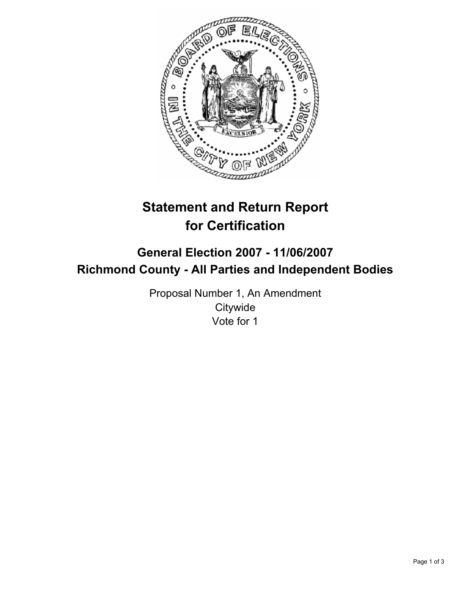

# **Statement and Return Report for Certification**

# **General Election 2007 - 11/06/2007 Richmond County - All Parties and Independent Bodies**

Proposal Number 1, An Amendment **Citywide** Vote for 1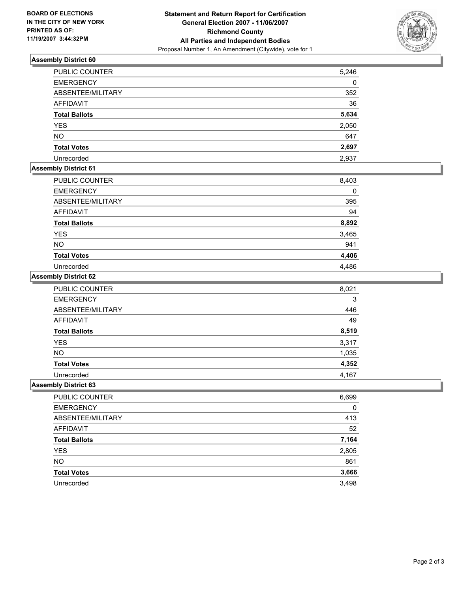

## **Assembly District 60**

| PUBLIC COUNTER       | 5,246 |
|----------------------|-------|
| <b>EMERGENCY</b>     | 0     |
| ABSENTEE/MILITARY    | 352   |
| AFFIDAVIT            | 36    |
| <b>Total Ballots</b> | 5,634 |
| <b>YES</b>           | 2,050 |
| <b>NO</b>            | 647   |
| <b>Total Votes</b>   | 2,697 |
| Unrecorded           | 2,937 |

# **Assembly District 61**

| PUBLIC COUNTER       | 8,403 |
|----------------------|-------|
| <b>EMERGENCY</b>     | 0     |
| ABSENTEE/MILITARY    | 395   |
| AFFIDAVIT            | 94    |
| <b>Total Ballots</b> | 8,892 |
| <b>YES</b>           | 3,465 |
| <b>NO</b>            | 941   |
| <b>Total Votes</b>   | 4,406 |
| Unrecorded           | 4,486 |

#### **Assembly District 62**

| PUBLIC COUNTER       | 8,021 |
|----------------------|-------|
| <b>EMERGENCY</b>     |       |
| ABSENTEE/MILITARY    | 446   |
| <b>AFFIDAVIT</b>     | 49    |
| <b>Total Ballots</b> | 8,519 |
| <b>YES</b>           | 3,317 |
| <b>NO</b>            | 1,035 |
| <b>Total Votes</b>   | 4,352 |
| Unrecorded           | 4,167 |

#### **Assembly District 63**

| PUBLIC COUNTER       | 6,699 |
|----------------------|-------|
| <b>EMERGENCY</b>     | 0     |
| ABSENTEE/MILITARY    | 413   |
| AFFIDAVIT            | 52    |
| <b>Total Ballots</b> | 7,164 |
| <b>YES</b>           | 2,805 |
| <b>NO</b>            | 861   |
| <b>Total Votes</b>   | 3,666 |
| Unrecorded           | 3,498 |